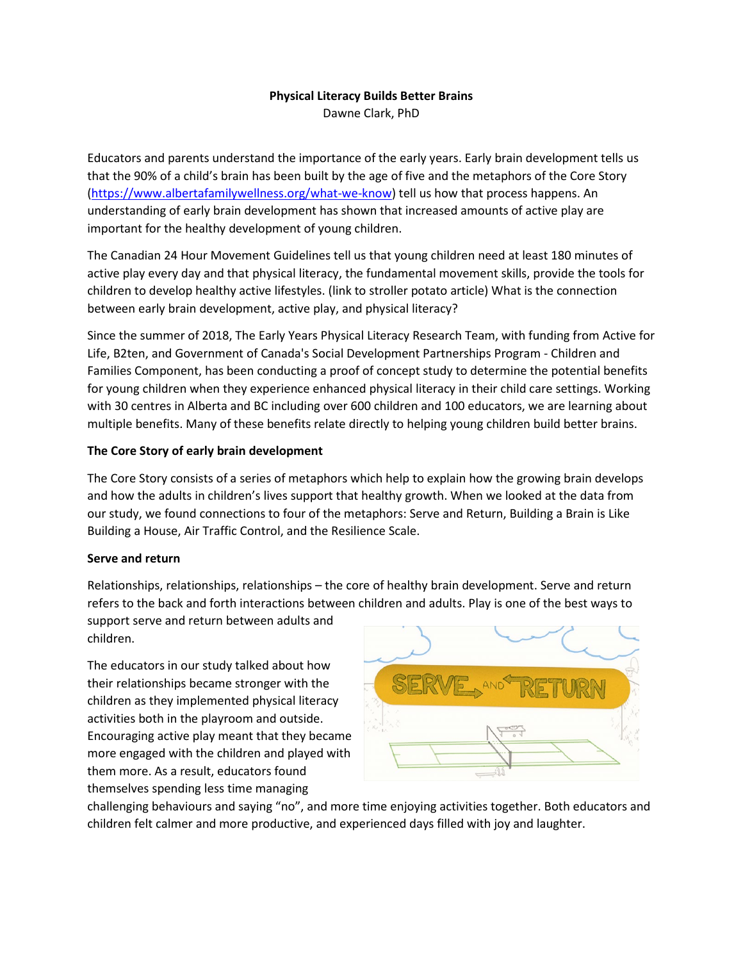# **Physical Literacy Builds Better Brains**

Dawne Clark, PhD

Educators and parents understand the importance of the early years. Early brain development tells us that the 90% of a child's brain has been built by the age of five and the metaphors of the Core Story [\(https://www.albertafamilywellness.org/what-we-know\)](https://www.albertafamilywellness.org/what-we-know) tell us how that process happens. An understanding of early brain development has shown that increased amounts of active play are important for the healthy development of young children.

The Canadian 24 Hour Movement Guidelines tell us that young children need at least 180 minutes of active play every day and that physical literacy, the fundamental movement skills, provide the tools for children to develop healthy active lifestyles. (link to stroller potato article) What is the connection between early brain development, active play, and physical literacy?

Since the summer of 2018, The Early Years Physical Literacy Research Team, with funding from Active for Life, B2ten, and Government of Canada's Social Development Partnerships Program - Children and Families Component, has been conducting a proof of concept study to determine the potential benefits for young children when they experience enhanced physical literacy in their child care settings. Working with 30 centres in Alberta and BC including over 600 children and 100 educators, we are learning about multiple benefits. Many of these benefits relate directly to helping young children build better brains.

## **The Core Story of early brain development**

The Core Story consists of a series of metaphors which help to explain how the growing brain develops and how the adults in children's lives support that healthy growth. When we looked at the data from our study, we found connections to four of the metaphors: Serve and Return, Building a Brain is Like Building a House, Air Traffic Control, and the Resilience Scale.

# **Serve and return**

Relationships, relationships, relationships – the core of healthy brain development. Serve and return refers to the back and forth interactions between children and adults. Play is one of the best ways to

support serve and return between adults and children.

The educators in our study talked about how their relationships became stronger with the children as they implemented physical literacy activities both in the playroom and outside. Encouraging active play meant that they became more engaged with the children and played with them more. As a result, educators found themselves spending less time managing



challenging behaviours and saying "no", and more time enjoying activities together. Both educators and children felt calmer and more productive, and experienced days filled with joy and laughter.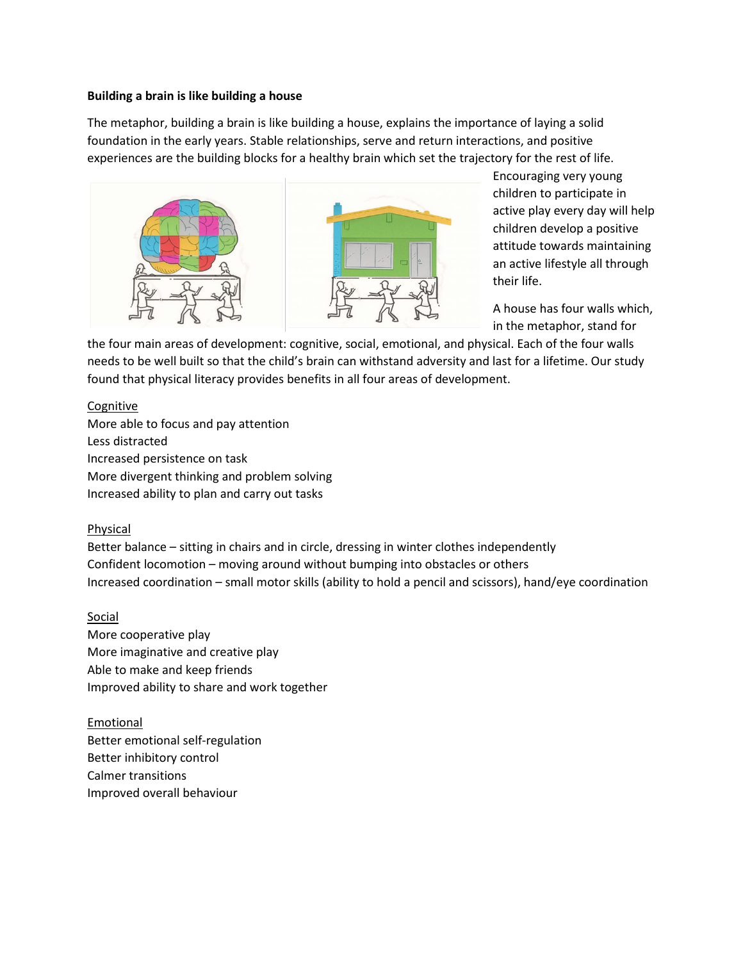#### **Building a brain is like building a house**

The metaphor, building a brain is like building a house, explains the importance of laying a solid foundation in the early years. Stable relationships, serve and return interactions, and positive experiences are the building blocks for a healthy brain which set the trajectory for the rest of life.





Encouraging very young children to participate in active play every day will help children develop a positive attitude towards maintaining an active lifestyle all through their life.

A house has four walls which, in the metaphor, stand for

the four main areas of development: cognitive, social, emotional, and physical. Each of the four walls needs to be well built so that the child's brain can withstand adversity and last for a lifetime. Our study found that physical literacy provides benefits in all four areas of development.

### Cognitive

More able to focus and pay attention Less distracted Increased persistence on task More divergent thinking and problem solving Increased ability to plan and carry out tasks

## Physical

Better balance – sitting in chairs and in circle, dressing in winter clothes independently Confident locomotion – moving around without bumping into obstacles or others Increased coordination – small motor skills (ability to hold a pencil and scissors), hand/eye coordination

## Social

More cooperative play More imaginative and creative play Able to make and keep friends Improved ability to share and work together

Emotional Better emotional self-regulation Better inhibitory control Calmer transitions Improved overall behaviour